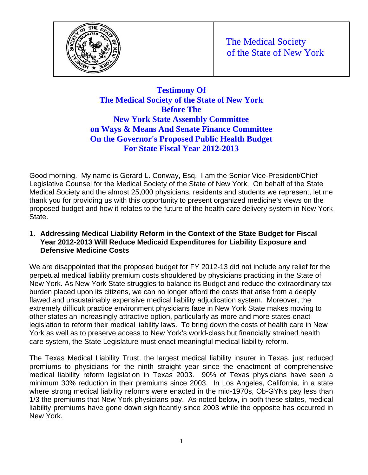



# **Testimony Of The Medical Society of the State of New York Before The New York State Assembly Committee on Ways & Means And Senate Finance Committee On the Governor's Proposed Public Health Budget For State Fiscal Year 2012-2013**

Good morning. My name is Gerard L. Conway, Esq. I am the Senior Vice-President/Chief Legislative Counsel for the Medical Society of the State of New York. On behalf of the State Medical Society and the almost 25,000 physicians, residents and students we represent, let me thank you for providing us with this opportunity to present organized medicine's views on the proposed budget and how it relates to the future of the health care delivery system in New York State.

### 1. **Addressing Medical Liability Reform in the Context of the State Budget for Fiscal Year 2012-2013 Will Reduce Medicaid Expenditures for Liability Exposure and Defensive Medicine Costs**

We are disappointed that the proposed budget for FY 2012-13 did not include any relief for the perpetual medical liability premium costs shouldered by physicians practicing in the State of New York. As New York State struggles to balance its Budget and reduce the extraordinary tax burden placed upon its citizens, we can no longer afford the costs that arise from a deeply flawed and unsustainably expensive medical liability adjudication system. Moreover, the extremely difficult practice environment physicians face in New York State makes moving to other states an increasingly attractive option, particularly as more and more states enact legislation to reform their medical liability laws. To bring down the costs of health care in New York as well as to preserve access to New York's world-class but financially strained health care system, the State Legislature must enact meaningful medical liability reform.

The Texas Medical Liability Trust, the largest medical liability insurer in Texas, just reduced premiums to physicians for the ninth straight year since the enactment of comprehensive medical liability reform legislation in Texas 2003. 90% of Texas physicians have seen a minimum 30% reduction in their premiums since 2003. In Los Angeles, California, in a state where strong medical liability reforms were enacted in the mid-1970s, Ob-GYNs pay less than 1/3 the premiums that New York physicians pay. As noted below, in both these states, medical liability premiums have gone down significantly since 2003 while the opposite has occurred in New York.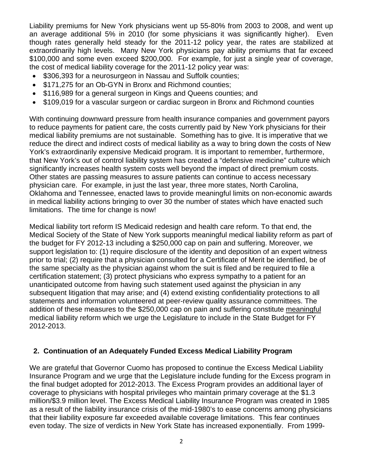Liability premiums for New York physicians went up 55-80% from 2003 to 2008, and went up an average additional 5% in 2010 (for some physicians it was significantly higher). Even though rates generally held steady for the 2011-12 policy year, the rates are stabilized at extraordinarily high levels. Many New York physicians pay ability premiums that far exceed \$100,000 and some even exceed \$200,000. For example, for just a single year of coverage, the cost of medical liability coverage for the 2011-12 policy year was:

- \$306,393 for a neurosurgeon in Nassau and Suffolk counties;
- \$171,275 for an Ob-GYN in Bronx and Richmond counties;
- \$116,989 for a general surgeon in Kings and Queens counties; and
- \$109,019 for a vascular surgeon or cardiac surgeon in Bronx and Richmond counties

With continuing downward pressure from health insurance companies and government payors to reduce payments for patient care, the costs currently paid by New York physicians for their medical liability premiums are not sustainable. Something has to give. It is imperative that we reduce the direct and indirect costs of medical liability as a way to bring down the costs of New York's extraordinarily expensive Medicaid program. It is important to remember, furthermore, that New York's out of control liability system has created a "defensive medicine" culture which significantly increases health system costs well beyond the impact of direct premium costs. Other states are passing measures to assure patients can continue to access necessary physician care. For example, in just the last year, three more states, North Carolina, Oklahoma and Tennessee, enacted laws to provide meaningful limits on non-economic awards in medical liability actions bringing to over 30 the number of states which have enacted such limitations. The time for change is now!

Medical liability tort reform IS Medicaid redesign and health care reform. To that end, the Medical Society of the State of New York supports meaningful medical liability reform as part of the budget for FY 2012-13 including a \$250,000 cap on pain and suffering. Moreover, we support legislation to: (1) require disclosure of the identity and deposition of an expert witness prior to trial; (2) require that a physician consulted for a Certificate of Merit be identified, be of the same specialty as the physician against whom the suit is filed and be required to file a certification statement; (3) protect physicians who express sympathy to a patient for an unanticipated outcome from having such statement used against the physician in any subsequent litigation that may arise; and (4) extend existing confidentiality protections to all statements and information volunteered at peer-review quality assurance committees. The addition of these measures to the \$250,000 cap on pain and suffering constitute meaningful medical liability reform which we urge the Legislature to include in the State Budget for FY 2012-2013.

## **2. Continuation of an Adequately Funded Excess Medical Liability Program**

We are grateful that Governor Cuomo has proposed to continue the Excess Medical Liability Insurance Program and we urge that the Legislature include funding for the Excess program in the final budget adopted for 2012-2013. The Excess Program provides an additional layer of coverage to physicians with hospital privileges who maintain primary coverage at the \$1.3 million/\$3.9 million level. The Excess Medical Liability Insurance Program was created in 1985 as a result of the liability insurance crisis of the mid-1980's to ease concerns among physicians that their liability exposure far exceeded available coverage limitations. This fear continues even today. The size of verdicts in New York State has increased exponentially. From 1999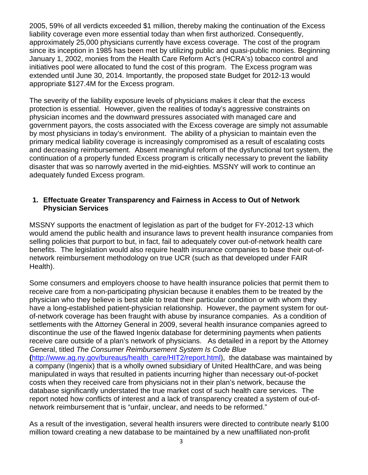2005, 59% of all verdicts exceeded \$1 million, thereby making the continuation of the Excess liability coverage even more essential today than when first authorized. Consequently, approximately 25,000 physicians currently have excess coverage. The cost of the program since its inception in 1985 has been met by utilizing public and quasi-public monies. Beginning January 1, 2002, monies from the Health Care Reform Act's (HCRA's) tobacco control and initiatives pool were allocated to fund the cost of this program. The Excess program was extended until June 30, 2014. Importantly, the proposed state Budget for 2012-13 would appropriate \$127.4M for the Excess program.

The severity of the liability exposure levels of physicians makes it clear that the excess protection is essential. However, given the realities of today's aggressive constraints on physician incomes and the downward pressures associated with managed care and government payors, the costs associated with the Excess coverage are simply not assumable by most physicians in today's environment. The ability of a physician to maintain even the primary medical liability coverage is increasingly compromised as a result of escalating costs and decreasing reimbursement. Absent meaningful reform of the dysfunctional tort system, the continuation of a properly funded Excess program is critically necessary to prevent the liability disaster that was so narrowly averted in the mid-eighties. MSSNY will work to continue an adequately funded Excess program.

#### **1. Effectuate Greater Transparency and Fairness in Access to Out of Network Physician Services**

MSSNY supports the enactment of legislation as part of the budget for FY-2012-13 which would amend the public health and insurance laws to prevent health insurance companies from selling policies that purport to but, in fact, fail to adequately cover out-of-network health care benefits. The legislation would also require health insurance companies to base their out-ofnetwork reimbursement methodology on true UCR (such as that developed under FAIR Health).

Some consumers and employers choose to have health insurance policies that permit them to receive care from a non-participating physician because it enables them to be treated by the physician who they believe is best able to treat their particular condition or with whom they have a long-established patient-physician relationship. However, the payment system for outof-network coverage has been fraught with abuse by insurance companies. As a condition of settlements with the Attorney General in 2009, several health insurance companies agreed to discontinue the use of the flawed Ingenix database for determining payments when patients receive care outside of a plan's network of physicians. As detailed in a report by the Attorney General, titled *The Consumer Reimbursement System Is Code Blue* **(**http://www.ag.ny.gov/bureaus/health\_care/HIT2/report.html), the database was maintained by a company (Ingenix) that is a wholly owned subsidiary of United HealthCare, and was being manipulated in ways that resulted in patients incurring higher than necessary out-of-pocket costs when they received care from physicians not in their plan's network, because the database significantly understated the true market cost of such health care services. The report noted how conflicts of interest and a lack of transparency created a system of out-ofnetwork reimbursement that is "unfair, unclear, and needs to be reformed."

As a result of the investigation, several health insurers were directed to contribute nearly \$100 million toward creating a new database to be maintained by a new unaffiliated non-profit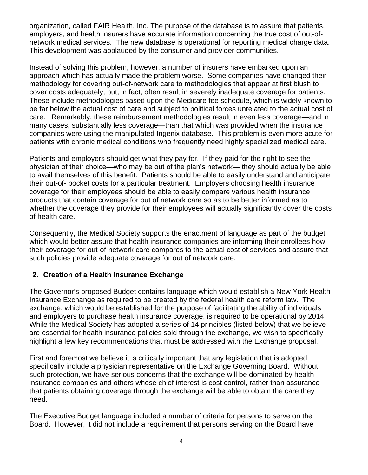organization, called FAIR Health, Inc. The purpose of the database is to assure that patients, employers, and health insurers have accurate information concerning the true cost of out-ofnetwork medical services. The new database is operational for reporting medical charge data. This development was applauded by the consumer and provider communities.

Instead of solving this problem, however, a number of insurers have embarked upon an approach which has actually made the problem worse. Some companies have changed their methodology for covering out-of-network care to methodologies that appear at first blush to cover costs adequately, but, in fact, often result in severely inadequate coverage for patients. These include methodologies based upon the Medicare fee schedule, which is widely known to be far below the actual cost of care and subject to political forces unrelated to the actual cost of care. Remarkably, these reimbursement methodologies result in even less coverage—and in many cases, substantially less coverage—than that which was provided when the insurance companies were using the manipulated Ingenix database. This problem is even more acute for patients with chronic medical conditions who frequently need highly specialized medical care.

Patients and employers should get what they pay for. If they paid for the right to see the physician of their choice—who may be out of the plan's network— they should actually be able to avail themselves of this benefit. Patients should be able to easily understand and anticipate their out-of- pocket costs for a particular treatment. Employers choosing health insurance coverage for their employees should be able to easily compare various health insurance products that contain coverage for out of network care so as to be better informed as to whether the coverage they provide for their employees will actually significantly cover the costs of health care.

Consequently, the Medical Society supports the enactment of language as part of the budget which would better assure that health insurance companies are informing their enrollees how their coverage for out-of-network care compares to the actual cost of services and assure that such policies provide adequate coverage for out of network care.

## **2. Creation of a Health Insurance Exchange**

The Governor's proposed Budget contains language which would establish a New York Health Insurance Exchange as required to be created by the federal health care reform law. The exchange, which would be established for the purpose of facilitating the ability of individuals and employers to purchase health insurance coverage, is required to be operational by 2014. While the Medical Society has adopted a series of 14 principles (listed below) that we believe are essential for health insurance policies sold through the exchange, we wish to specifically highlight a few key recommendations that must be addressed with the Exchange proposal.

First and foremost we believe it is critically important that any legislation that is adopted specifically include a physician representative on the Exchange Governing Board. Without such protection, we have serious concerns that the exchange will be dominated by health insurance companies and others whose chief interest is cost control, rather than assurance that patients obtaining coverage through the exchange will be able to obtain the care they need.

The Executive Budget language included a number of criteria for persons to serve on the Board. However, it did not include a requirement that persons serving on the Board have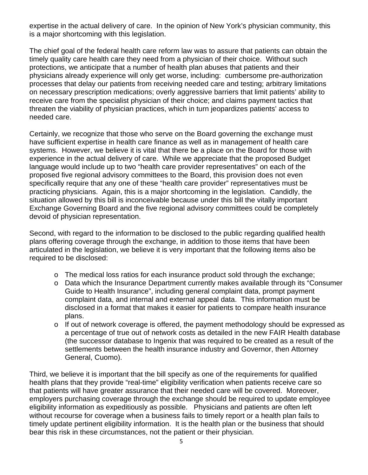expertise in the actual delivery of care. In the opinion of New York's physician community, this is a major shortcoming with this legislation.

The chief goal of the federal health care reform law was to assure that patients can obtain the timely quality care health care they need from a physician of their choice. Without such protections, we anticipate that a number of health plan abuses that patients and their physicians already experience will only get worse, including: cumbersome pre-authorization processes that delay our patients from receiving needed care and testing; arbitrary limitations on necessary prescription medications; overly aggressive barriers that limit patients' ability to receive care from the specialist physician of their choice; and claims payment tactics that threaten the viability of physician practices, which in turn jeopardizes patients' access to needed care.

Certainly, we recognize that those who serve on the Board governing the exchange must have sufficient expertise in health care finance as well as in management of health care systems. However, we believe it is vital that there be a place on the Board for those with experience in the actual delivery of care. While we appreciate that the proposed Budget language would include up to two "health care provider representatives" on each of the proposed five regional advisory committees to the Board, this provision does not even specifically require that any one of these "health care provider" representatives must be practicing physicians. Again, this is a major shortcoming in the legislation. Candidly, the situation allowed by this bill is inconceivable because under this bill the vitally important Exchange Governing Board and the five regional advisory committees could be completely devoid of physician representation.

Second, with regard to the information to be disclosed to the public regarding qualified health plans offering coverage through the exchange, in addition to those items that have been articulated in the legislation, we believe it is very important that the following items also be required to be disclosed:

- o The medical loss ratios for each insurance product sold through the exchange;
- o Data which the Insurance Department currently makes available through its "Consumer Guide to Health Insurance", including general complaint data, prompt payment complaint data, and internal and external appeal data. This information must be disclosed in a format that makes it easier for patients to compare health insurance plans.
- o If out of network coverage is offered, the payment methodology should be expressed as a percentage of true out of network costs as detailed in the new FAIR Health database (the successor database to Ingenix that was required to be created as a result of the settlements between the health insurance industry and Governor, then Attorney General, Cuomo).

Third, we believe it is important that the bill specify as one of the requirements for qualified health plans that they provide "real-time" eligibility verification when patients receive care so that patients will have greater assurance that their needed care will be covered. Moreover, employers purchasing coverage through the exchange should be required to update employee eligibility information as expeditiously as possible. Physicians and patients are often left without recourse for coverage when a business fails to timely report or a health plan fails to timely update pertinent eligibility information. It is the health plan or the business that should bear this risk in these circumstances, not the patient or their physician.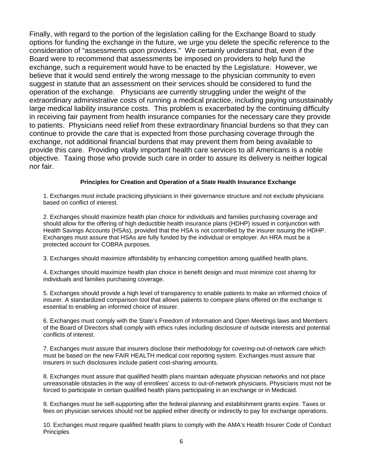Finally, with regard to the portion of the legislation calling for the Exchange Board to study options for funding the exchange in the future, we urge you delete the specific reference to the consideration of "assessments upon providers." We certainly understand that, even if the Board were to recommend that assessments be imposed on providers to help fund the exchange, such a requirement would have to be enacted by the Legislature. However, we believe that it would send entirely the wrong message to the physician community to even suggest in statute that an assessment on their services should be considered to fund the operation of the exchange. Physicians are currently struggling under the weight of the extraordinary administrative costs of running a medical practice, including paying unsustainably large medical liability insurance costs. This problem is exacerbated by the continuing difficulty in receiving fair payment from health insurance companies for the necessary care they provide to patients. Physicians need relief from these extraordinary financial burdens so that they can continue to provide the care that is expected from those purchasing coverage through the exchange, not additional financial burdens that may prevent them from being available to provide this care. Providing vitally important health care services to all Americans is a noble objective. Taxing those who provide such care in order to assure its delivery is neither logical nor fair.

#### **Principles for Creation and Operation of a State Health Insurance Exchange**

1. Exchanges must include practicing physicians in their governance structure and not exclude physicians based on conflict of interest.

2. Exchanges should maximize health plan choice for individuals and families purchasing coverage and should allow for the offering of high deductible health insurance plans (HDHP) issued in conjunction with Health Savings Accounts (HSAs), provided that the HSA is not controlled by the insurer issuing the HDHP. Exchanges must assure that HSAs are fully funded by the individual or employer. An HRA must be a protected account for COBRA purposes.

3. Exchanges should maximize affordability by enhancing competition among qualified health plans.

4. Exchanges should maximize health plan choice in benefit design and must minimize cost sharing for individuals and families purchasing coverage.

5. Exchanges should provide a high level of transparency to enable patients to make an informed choice of insurer. A standardized comparison tool that allows patients to compare plans offered on the exchange is essential to enabling an informed choice of insurer.

6. Exchanges must comply with the State's Freedom of Information and Open Meetings laws and Members of the Board of Directors shall comply with ethics rules including disclosure of outside interests and potential conflicts of interest.

7. Exchanges must assure that insurers disclose their methodology for covering-out-of-network care which must be based on the new FAIR HEALTH medical cost reporting system. Exchanges must assure that insurers in such disclosures include patient cost-sharing amounts.

8. Exchanges must assure that qualified health plans maintain adequate physician networks and not place unreasonable obstacles in the way of enrollees' access to out-of-network physicians. Physicians must not be forced to participate in certain qualified health plans participating in an exchange or in Medicaid.

9. Exchanges must be self-supporting after the federal planning and establishment grants expire. Taxes or fees on physician services should not be applied either directly or indirectly to pay for exchange operations.

10. Exchanges must require qualified health plans to comply with the AMA's Health Insurer Code of Conduct **Principles**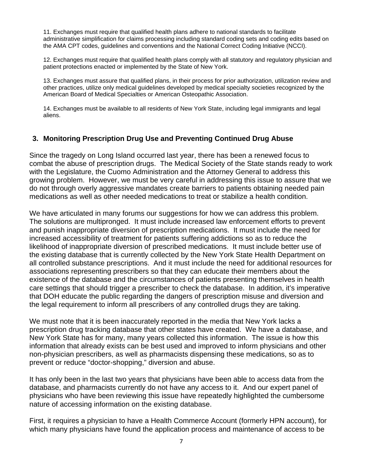11. Exchanges must require that qualified health plans adhere to national standards to facilitate administrative simplification for claims processing including standard coding sets and coding edits based on the AMA CPT codes, guidelines and conventions and the National Correct Coding Initiative (NCCI).

12. Exchanges must require that qualified health plans comply with all statutory and regulatory physician and patient protections enacted or implemented by the State of New York.

13. Exchanges must assure that qualified plans, in their process for prior authorization, utilization review and other practices, utilize only medical guidelines developed by medical specialty societies recognized by the American Board of Medical Specialties or American Osteopathic Association.

14. Exchanges must be available to all residents of New York State, including legal immigrants and legal aliens.

#### **3. Monitoring Prescription Drug Use and Preventing Continued Drug Abuse**

Since the tragedy on Long Island occurred last year, there has been a renewed focus to combat the abuse of prescription drugs. The Medical Society of the State stands ready to work with the Legislature, the Cuomo Administration and the Attorney General to address this growing problem. However, we must be very careful in addressing this issue to assure that we do not through overly aggressive mandates create barriers to patients obtaining needed pain medications as well as other needed medications to treat or stabilize a health condition.

We have articulated in many forums our suggestions for how we can address this problem. The solutions are multipronged. It must include increased law enforcement efforts to prevent and punish inappropriate diversion of prescription medications. It must include the need for increased accessibility of treatment for patients suffering addictions so as to reduce the likelihood of inappropriate diversion of prescribed medications. It must include better use of the existing database that is currently collected by the New York State Health Department on all controlled substance prescriptions. And it must include the need for additional resources for associations representing prescribers so that they can educate their members about the existence of the database and the circumstances of patients presenting themselves in health care settings that should trigger a prescriber to check the database. In addition, it's imperative that DOH educate the public regarding the dangers of prescription misuse and diversion and the legal requirement to inform all prescribers of any controlled drugs they are taking.

We must note that it is been inaccurately reported in the media that New York lacks a prescription drug tracking database that other states have created. We have a database, and New York State has for many, many years collected this information. The issue is how this information that already exists can be best used and improved to inform physicians and other non-physician prescribers, as well as pharmacists dispensing these medications, so as to prevent or reduce "doctor-shopping," diversion and abuse.

It has only been in the last two years that physicians have been able to access data from the database, and pharmacists currently do not have any access to it. And our expert panel of physicians who have been reviewing this issue have repeatedly highlighted the cumbersome nature of accessing information on the existing database.

First, it requires a physician to have a Health Commerce Account (formerly HPN account), for which many physicians have found the application process and maintenance of access to be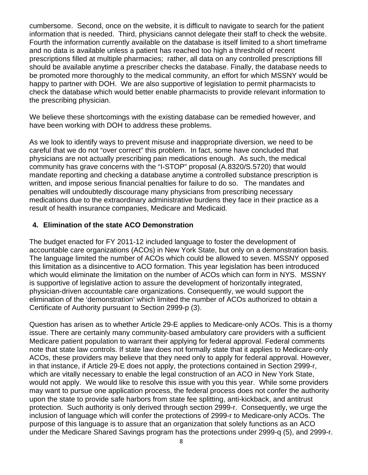cumbersome. Second, once on the website, it is difficult to navigate to search for the patient information that is needed. Third, physicians cannot delegate their staff to check the website. Fourth the information currently available on the database is itself limited to a short timeframe and no data is available unless a patient has reached too high a threshold of recent prescriptions filled at multiple pharmacies; rather, all data on any controlled prescriptions fill should be available anytime a prescriber checks the database. Finally, the database needs to be promoted more thoroughly to the medical community, an effort for which MSSNY would be happy to partner with DOH. We are also supportive of legislation to permit pharmacists to check the database which would better enable pharmacists to provide relevant information to the prescribing physician.

We believe these shortcomings with the existing database can be remedied however, and have been working with DOH to address these problems.

As we look to identify ways to prevent misuse and inappropriate diversion, we need to be careful that we do not "over correct" this problem. In fact, some have concluded that physicians are not actually prescribing pain medications enough. As such, the medical community has grave concerns with the "I-STOP" proposal (A.8320/S.5720) that would mandate reporting and checking a database anytime a controlled substance prescription is written, and impose serious financial penalties for failure to do so. The mandates and penalties will undoubtedly discourage many physicians from prescribing necessary medications due to the extraordinary administrative burdens they face in their practice as a result of health insurance companies, Medicare and Medicaid.

### **4. Elimination of the state ACO Demonstration**

The budget enacted for FY 2011-12 included language to foster the development of accountable care organizations (ACOs) in New York State, but only on a demonstration basis. The language limited the number of ACOs which could be allowed to seven. MSSNY opposed this limitation as a disincentive to ACO formation. This year legislation has been introduced which would eliminate the limitation on the number of ACOs which can form in NYS. MSSNY is supportive of legislative action to assure the development of horizontally integrated, physician-driven accountable care organizations. Consequently, we would support the elimination of the 'demonstration' which limited the number of ACOs authorized to obtain a Certificate of Authority pursuant to Section 2999-p (3).

Question has arisen as to whether Article 29-E applies to Medicare-only ACOs. This is a thorny issue. There are certainly many community-based ambulatory care providers with a sufficient Medicare patient population to warrant their applying for federal approval. Federal comments note that state law controls. If state law does not formally state that it applies to Medicare-only ACOs, these providers may believe that they need only to apply for federal approval. However, in that instance, if Article 29-E does not apply, the protections contained in Section 2999-r, which are vitally necessary to enable the legal construction of an ACO in New York State, would not apply. We would like to resolve this issue with you this year. While some providers may want to pursue one application process, the federal process does not confer the authority upon the state to provide safe harbors from state fee splitting, anti-kickback, and antitrust protection. Such authority is only derived through section 2999-r. Consequently, we urge the inclusion of language which will confer the protections of 2999-r to Medicare-only ACOs. The purpose of this language is to assure that an organization that solely functions as an ACO under the Medicare Shared Savings program has the protections under 2999-q (5), and 2999-r.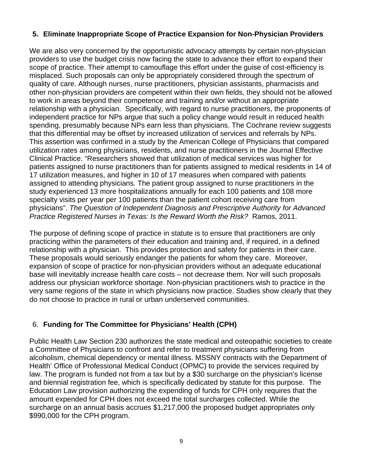## **5. Eliminate Inappropriate Scope of Practice Expansion for Non-Physician Providers**

We are also very concerned by the opportunistic advocacy attempts by certain non-physician providers to use the budget crisis now facing the state to advance their effort to expand their scope of practice. Their attempt to camouflage this effort under the guise of cost-efficiency is misplaced. Such proposals can only be appropriately considered through the spectrum of quality of care. Although nurses, nurse practitioners, physician assistants, pharmacists and other non-physician providers are competent within their own fields, they should not be allowed to work in areas beyond their competence and training and/or without an appropriate relationship with a physician. Specifically, with regard to nurse practitioners, the proponents of independent practice for NPs argue that such a policy change would result in reduced health spending, presumably because NPs earn less than physicians. The Cochrane review suggests that this differential may be offset by increased utilization of services and referrals by NPs. This assertion was confirmed in a study by the American College of Physicians that compared utilization rates among physicians, residents, and nurse practitioners in the Journal Effective Clinical Practice. "Researchers showed that utilization of medical services was higher for patients assigned to nurse practitioners than for patients assigned to medical residents in 14 of 17 utilization measures, and higher in 10 of 17 measures when compared with patients assigned to attending physicians. The patient group assigned to nurse practitioners in the study experienced 13 more hospitalizations annually for each 100 patients and 108 more specialty visits per year per 100 patients than the patient cohort receiving care from physicians". *The Question of Independent Diagnosis and Prescriptive Authority for Advanced Practice Registered Nurses in Texas: Is the Reward Worth the Risk?* Ramos, 2011.

The purpose of defining scope of practice in statute is to ensure that practitioners are only practicing within the parameters of their education and training and, if required, in a defined relationship with a physician. This provides protection and safety for patients in their care. These proposals would seriously endanger the patients for whom they care. Moreover, expansion of scope of practice for non-physician providers without an adequate educational base will inevitably increase health care costs – not decrease them. Nor will such proposals address our physician workforce shortage. Non-physician practitioners wish to practice in the very same regions of the state in which physicians now practice. Studies show clearly that they do not choose to practice in rural or urban underserved communities.

## 6. **Funding for The Committee for Physicians' Health (CPH)**

Public Health Law Section 230 authorizes the state medical and osteopathic societies to create a Committee of Physicians to confront and refer to treatment physicians suffering from alcoholism, chemical dependency or mental illness. MSSNY contracts with the Department of Health' Office of Professional Medical Conduct (OPMC) to provide the services required by law. The program is funded not from a tax but by a \$30 surcharge on the physician's license and biennial registration fee, which is specifically dedicated by statute for this purpose. The Education Law provision authorizing the expending of funds for CPH only requires that the amount expended for CPH does not exceed the total surcharges collected. While the surcharge on an annual basis accrues \$1,217,000 the proposed budget appropriates only \$990,000 for the CPH program.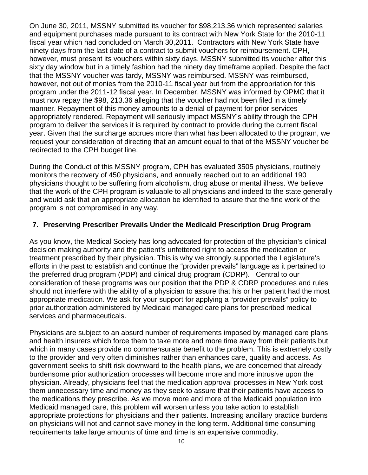On June 30, 2011, MSSNY submitted its voucher for \$98,213.36 which represented salaries and equipment purchases made pursuant to its contract with New York State for the 2010-11 fiscal year which had concluded on March 30,2011. Contractors with New York State have ninety days from the last date of a contract to submit vouchers for reimbursement. CPH, however, must present its vouchers within sixty days. MSSNY submitted its voucher after this sixty day window but in a timely fashion had the ninety day timeframe applied. Despite the fact that the MSSNY voucher was tardy, MSSNY was reimbursed. MSSNY was reimbursed, however, not out of monies from the 2010-11 fiscal year but from the appropriation for this program under the 2011-12 fiscal year. In December, MSSNY was informed by OPMC that it must now repay the \$98, 213.36 alleging that the voucher had not been filed in a timely manner. Repayment of this money amounts to a denial of payment for prior services appropriately rendered. Repayment will seriously impact MSSNY's ability through the CPH program to deliver the services it is required by contract to provide during the current fiscal year. Given that the surcharge accrues more than what has been allocated to the program, we request your consideration of directing that an amount equal to that of the MSSNY voucher be redirected to the CPH budget line.

During the Conduct of this MSSNY program, CPH has evaluated 3505 physicians, routinely monitors the recovery of 450 physicians, and annually reached out to an additional 190 physicians thought to be suffering from alcoholism, drug abuse or mental illness. We believe that the work of the CPH program is valuable to all physicians and indeed to the state generally and would ask that an appropriate allocation be identified to assure that the fine work of the program is not compromised in any way.

## **7. Preserving Prescriber Prevails Under the Medicaid Prescription Drug Program**

As you know, the Medical Society has long advocated for protection of the physician's clinical decision making authority and the patient's unfettered right to access the medication or treatment prescribed by their physician. This is why we strongly supported the Legislature's efforts in the past to establish and continue the "provider prevails" language as it pertained to the preferred drug program (PDP) and clinical drug program (CDRP). Central to our consideration of these programs was our position that the PDP & CDRP procedures and rules should not interfere with the ability of a physician to assure that his or her patient had the most appropriate medication. We ask for your support for applying a "provider prevails" policy to prior authorization administered by Medicaid managed care plans for prescribed medical services and pharmaceuticals.

Physicians are subject to an absurd number of requirements imposed by managed care plans and health insurers which force them to take more and more time away from their patients but which in many cases provide no commensurate benefit to the problem. This is extremely costly to the provider and very often diminishes rather than enhances care, quality and access. As government seeks to shift risk downward to the health plans, we are concerned that already burdensome prior authorization processes will become more and more intrusive upon the physician. Already, physicians feel that the medication approval processes in New York cost them unnecessary time and money as they seek to assure that their patients have access to the medications they prescribe. As we move more and more of the Medicaid population into Medicaid managed care, this problem will worsen unless you take action to establish appropriate protections for physicians and their patients. Increasing ancillary practice burdens on physicians will not and cannot save money in the long term. Additional time consuming requirements take large amounts of time and time is an expensive commodity.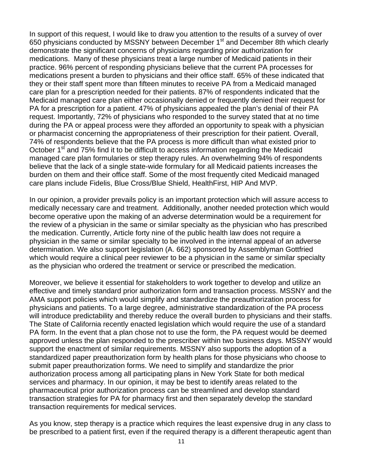In support of this request, I would like to draw you attention to the results of a survey of over 650 physicians conducted by MSSNY between December 1st and December 8th which clearly demonstrate the significant concerns of physicians regarding prior authorization for medications. Many of these physicians treat a large number of Medicaid patients in their practice. 96% percent of responding physicians believe that the current PA processes for medications present a burden to physicians and their office staff. 65% of these indicated that they or their staff spent more than fifteen minutes to receive PA from a Medicaid managed care plan for a prescription needed for their patients. 87% of respondents indicated that the Medicaid managed care plan either occasionally denied or frequently denied their request for PA for a prescription for a patient. 47% of physicians appealed the plan's denial of their PA request. Importantly, 72% of physicians who responded to the survey stated that at no time during the PA or appeal process were they afforded an opportunity to speak with a physician or pharmacist concerning the appropriateness of their prescription for their patient. Overall, 74% of respondents believe that the PA process is more difficult than what existed prior to October 1<sup>st</sup> and 75% find it to be difficult to access information regarding the Medicaid managed care plan formularies or step therapy rules. An overwhelming 94% of respondents believe that the lack of a single state-wide formulary for all Medicaid patients increases the burden on them and their office staff. Some of the most frequently cited Medicaid managed care plans include Fidelis, Blue Cross/Blue Shield, HealthFirst, HIP And MVP.

In our opinion, a provider prevails policy is an important protection which will assure access to medically necessary care and treatment. Additionally, another needed protection which would become operative upon the making of an adverse determination would be a requirement for the review of a physician in the same or similar specialty as the physician who has prescribed the medication. Currently, Article forty nine of the public health law does not require a physician in the same or similar specialty to be involved in the internal appeal of an adverse determination. We also support legislation (A. 662) sponsored by Assemblyman Gottfried which would require a clinical peer reviewer to be a physician in the same or similar specialty as the physician who ordered the treatment or service or prescribed the medication.

Moreover, we believe it essential for stakeholders to work together to develop and utilize an effective and timely standard prior authorization form and transaction process. MSSNY and the AMA support policies which would simplify and standardize the preauthorization process for physicians and patients. To a large degree, administrative standardization of the PA process will introduce predictability and thereby reduce the overall burden to physicians and their staffs. The State of California recently enacted legislation which would require the use of a standard PA form. In the event that a plan chose not to use the form, the PA request would be deemed approved unless the plan responded to the prescriber within two business days. MSSNY would support the enactment of similar requirements. MSSNY also supports the adoption of a standardized paper preauthorization form by health plans for those physicians who choose to submit paper preauthorization forms. We need to simplify and standardize the prior authorization process among all participating plans in New York State for both medical services and pharmacy. In our opinion, it may be best to identify areas related to the pharmaceutical prior authorization process can be streamlined and develop standard transaction strategies for PA for pharmacy first and then separately develop the standard transaction requirements for medical services.

As you know, step therapy is a practice which requires the least expensive drug in any class to be prescribed to a patient first, even if the required therapy is a different therapeutic agent than